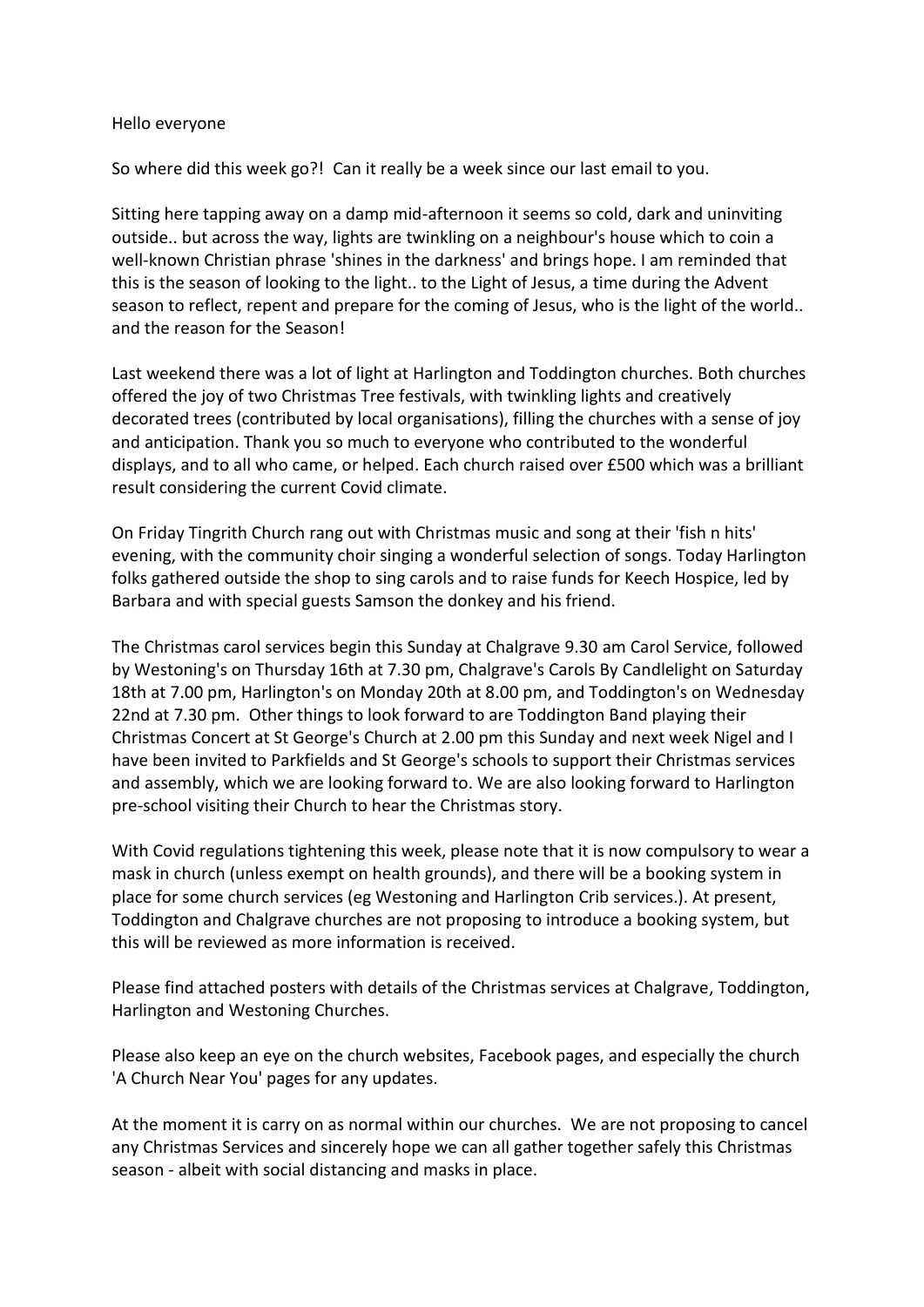#### Hello everyone

So where did this week go?! Can it really be a week since our last email to you.

Sitting here tapping away on a damp mid-afternoon it seems so cold, dark and uninviting outside.. but across the way, lights are twinkling on a neighbour's house which to coin a well-known Christian phrase 'shines in the darkness' and brings hope. I am reminded that this is the season of looking to the light.. to the Light of Jesus, a time during the Advent season to reflect, repent and prepare for the coming of Jesus, who is the light of the world.. and the reason for the Season!

Last weekend there was a lot of light at Harlington and Toddington churches. Both churches offered the joy of two Christmas Tree festivals, with twinkling lights and creatively decorated trees (contributed by local organisations), filling the churches with a sense of joy and anticipation. Thank you so much to everyone who contributed to the wonderful displays, and to all who came, or helped. Each church raised over £500 which was a brilliant result considering the current Covid climate.

On Friday Tingrith Church rang out with Christmas music and song at their 'fish n hits' evening, with the community choir singing a wonderful selection of songs. Today Harlington folks gathered outside the shop to sing carols and to raise funds for Keech Hospice, led by Barbara and with special guests Samson the donkey and his friend.

The Christmas carol services begin this Sunday at Chalgrave 9.30 am Carol Service, followed by Westoning's on Thursday 16th at 7.30 pm, Chalgrave's Carols By Candlelight on Saturday 18th at 7.00 pm, Harlington's on Monday 20th at 8.00 pm, and Toddington's on Wednesday 22nd at 7.30 pm. Other things to look forward to are Toddington Band playing their Christmas Concert at St George's Church at 2.00 pm this Sunday and next week Nigel and I have been invited to Parkfields and St George's schools to support their Christmas services and assembly, which we are looking forward to. We are also looking forward to Harlington pre-school visiting their Church to hear the Christmas story.

With Covid regulations tightening this week, please note that it is now compulsory to wear a mask in church (unless exempt on health grounds), and there will be a booking system in place for some church services (eg Westoning and Harlington Crib services.). At present, Toddington and Chalgrave churches are not proposing to introduce a booking system, but this will be reviewed as more information is received.

Please find attached posters with details of the Christmas services at Chalgrave, Toddington, Harlington and Westoning Churches.

Please also keep an eye on the church websites, Facebook pages, and especially the church 'A Church Near You' pages for any updates.

At the moment it is carry on as normal within our churches. We are not proposing to cancel any Christmas Services and sincerely hope we can all gather together safely this Christmas season - albeit with social distancing and masks in place.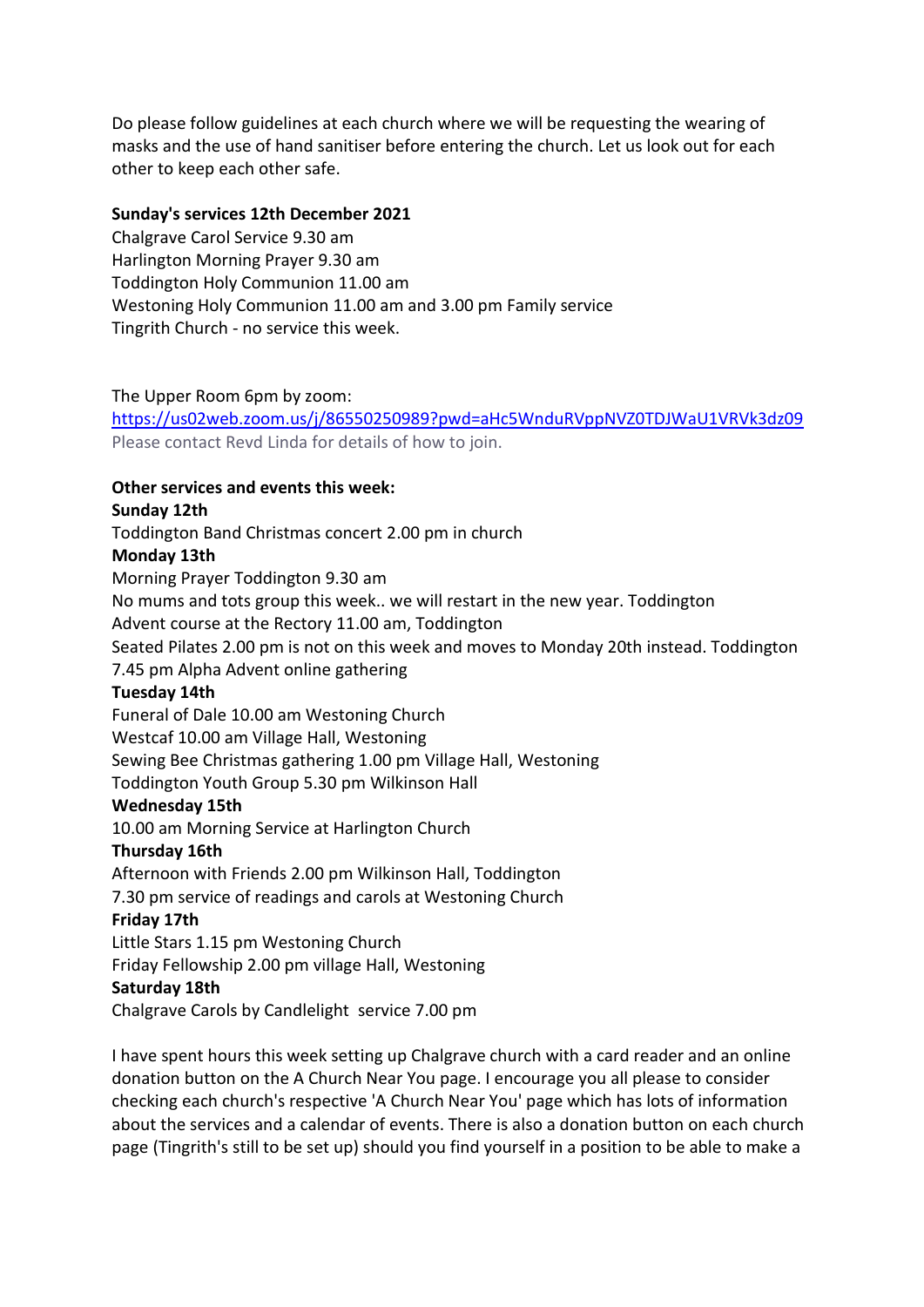Do please follow guidelines at each church where we will be requesting the wearing of masks and the use of hand sanitiser before entering the church. Let us look out for each other to keep each other safe.

### **Sunday's services 12th December 2021**

Chalgrave Carol Service 9.30 am Harlington Morning Prayer 9.30 am Toddington Holy Communion 11.00 am Westoning Holy Communion 11.00 am and 3.00 pm Family service Tingrith Church - no service this week.

### The Upper Room 6pm by zoom:

<https://us02web.zoom.us/j/86550250989?pwd=aHc5WnduRVppNVZ0TDJWaU1VRVk3dz09> Please contact Revd Linda for details of how to join.

### **Other services and events this week:**

### **Sunday 12th**

Toddington Band Christmas concert 2.00 pm in church

### **Monday 13th**

Morning Prayer Toddington 9.30 am No mums and tots group this week.. we will restart in the new year. Toddington Advent course at the Rectory 11.00 am, Toddington Seated Pilates 2.00 pm is not on this week and moves to Monday 20th instead. Toddington 7.45 pm Alpha Advent online gathering **Tuesday 14th** Funeral of Dale 10.00 am Westoning Church Westcaf 10.00 am Village Hall, Westoning Sewing Bee Christmas gathering 1.00 pm Village Hall, Westoning Toddington Youth Group 5.30 pm Wilkinson Hall **Wednesday 15th** 10.00 am Morning Service at Harlington Church **Thursday 16th** Afternoon with Friends 2.00 pm Wilkinson Hall, Toddington 7.30 pm service of readings and carols at Westoning Church **Friday 17th** Little Stars 1.15 pm Westoning Church Friday Fellowship 2.00 pm village Hall, Westoning

### **Saturday 18th**

Chalgrave Carols by Candlelight service 7.00 pm

I have spent hours this week setting up Chalgrave church with a card reader and an online donation button on the A Church Near You page. I encourage you all please to consider checking each church's respective 'A Church Near You' page which has lots of information about the services and a calendar of events. There is also a donation button on each church page (Tingrith's still to be set up) should you find yourself in a position to be able to make a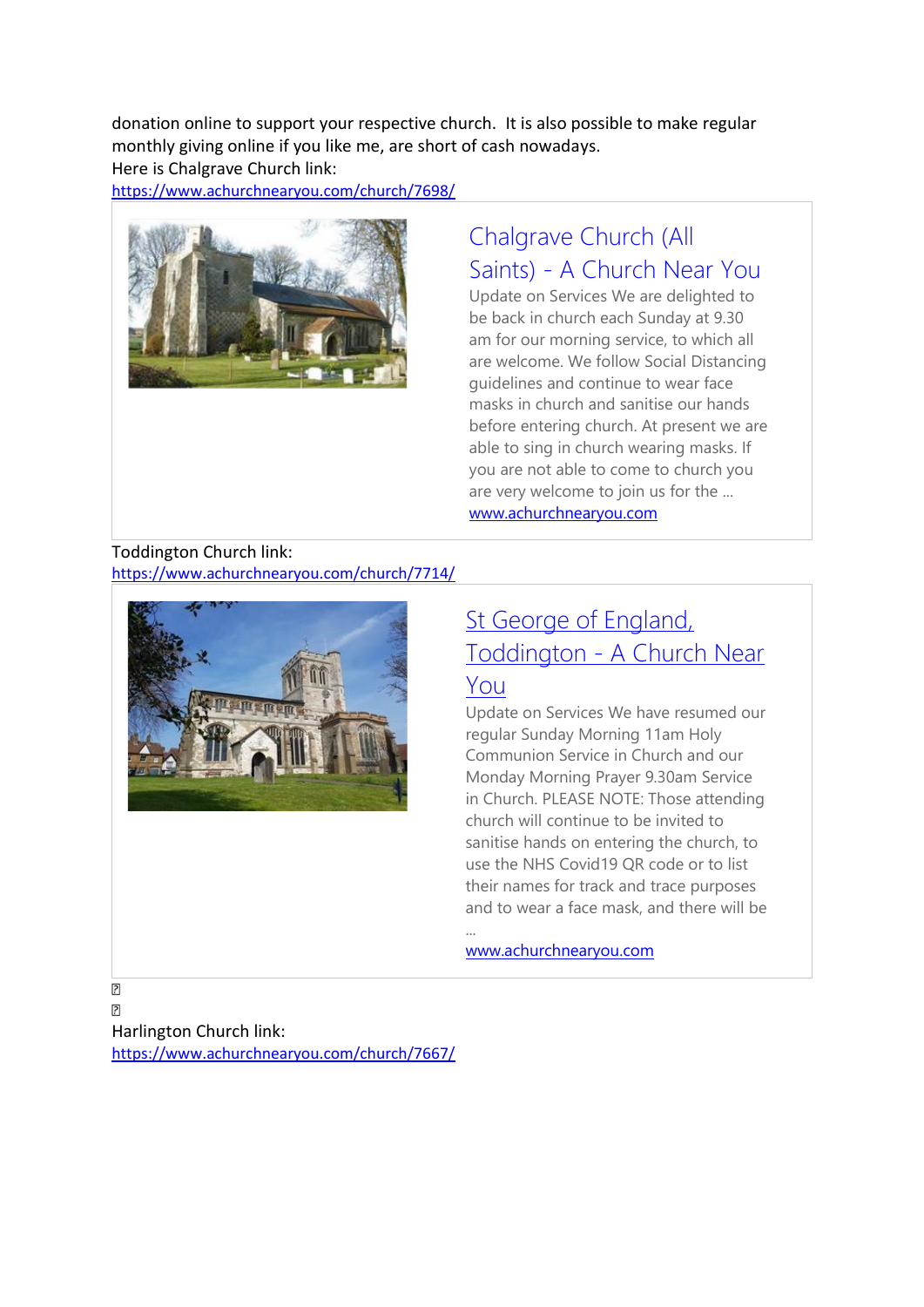donation online to support your respective church. It is also possible to make regular monthly giving online if you like me, are short of cash nowadays. Here is Chalgrave Church link:

<https://www.achurchnearyou.com/church/7698/>



# [Chalgrave Church \(All](https://www.achurchnearyou.com/church/7698/)  Saints) - [A Church Near You](https://www.achurchnearyou.com/church/7698/)

Update on Services We are delighted to be back in church each Sunday at 9.30 am for our morning service, to which all are welcome. We follow Social Distancing guidelines and continue to wear face masks in church and sanitise our hands before entering church. At present we are able to sing in church wearing masks. If you are not able to come to church you are very welcome to join us for the ... [www.achurchnearyou.com](http://www.achurchnearyou.com/)

Toddington Church link: <https://www.achurchnearyou.com/church/7714/>



## [St George of England,](https://www.achurchnearyou.com/church/7714/)  Toddington - [A Church Near](https://www.achurchnearyou.com/church/7714/)  [You](https://www.achurchnearyou.com/church/7714/)

Update on Services We have resumed our regular Sunday Morning 11am Holy Communion Service in Church and our Monday Morning Prayer 9.30am Service in Church. PLEASE NOTE: Those attending church will continue to be invited to sanitise hands on entering the church, to use the NHS Covid19 QR code or to list their names for track and trace purposes and to wear a face mask, and there will be

[www.achurchnearyou.com](http://www.achurchnearyou.com/)

...

 $\overline{2}$ Harlington Church link: <https://www.achurchnearyou.com/church/7667/>

 $\overline{\mathbf{2}}$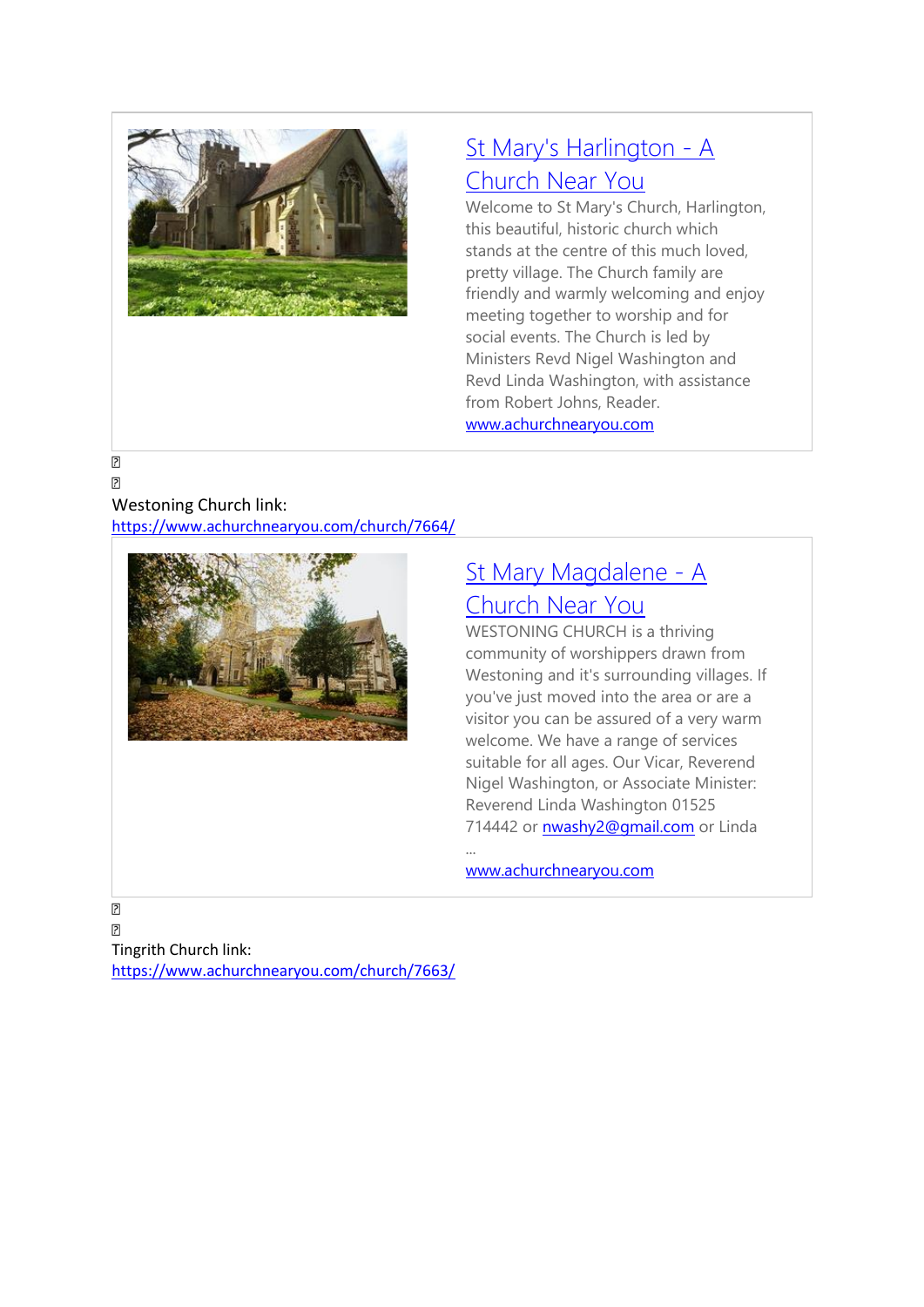

# [St Mary's Harlington -](https://www.achurchnearyou.com/church/7667/) A [Church Near You](https://www.achurchnearyou.com/church/7667/)

Welcome to St Mary's Church, Harlington, this beautiful, historic church which stands at the centre of this much loved, pretty village. The Church family are friendly and warmly welcoming and enjoy meeting together to worship and for social events. The Church is led by Ministers Revd Nigel Washington and Revd Linda Washington, with assistance from Robert Johns, Reader. [www.achurchnearyou.com](http://www.achurchnearyou.com/)

#### $\overline{2}$  $\overline{2}$

### Westoning Church link:

<https://www.achurchnearyou.com/church/7664/>



## [St Mary Magdalene -](https://www.achurchnearyou.com/church/7664/) A [Church Near You](https://www.achurchnearyou.com/church/7664/)

WESTONING CHURCH is a thriving community of worshippers drawn from Westoning and it's surrounding villages. If you've just moved into the area or are a visitor you can be assured of a very warm welcome. We have a range of services suitable for all ages. Our Vicar, Reverend Nigel Washington, or Associate Minister: Reverend Linda Washington 01525 714442 or [nwashy2@gmail.com](mailto:nwashy2@gmail.com) or Linda

[www.achurchnearyou.com](http://www.achurchnearyou.com/)

...

 $\begin{bmatrix} 2 \end{bmatrix}$  $\overline{P}$ Tingrith Church link: <https://www.achurchnearyou.com/church/7663/>